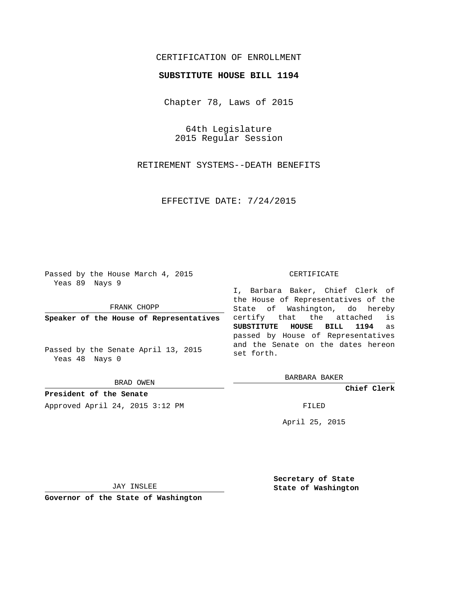# CERTIFICATION OF ENROLLMENT

# **SUBSTITUTE HOUSE BILL 1194**

Chapter 78, Laws of 2015

64th Legislature 2015 Regular Session

RETIREMENT SYSTEMS--DEATH BENEFITS

EFFECTIVE DATE: 7/24/2015

Passed by the House March 4, 2015 Yeas 89 Nays 9

FRANK CHOPP

**Speaker of the House of Representatives**

Passed by the Senate April 13, 2015 Yeas 48 Nays 0

BRAD OWEN

**President of the Senate** Approved April 24, 2015 3:12 PM FILED

#### CERTIFICATE

I, Barbara Baker, Chief Clerk of the House of Representatives of the State of Washington, do hereby certify that the attached is **SUBSTITUTE HOUSE BILL 1194** as passed by House of Representatives and the Senate on the dates hereon set forth.

BARBARA BAKER

**Chief Clerk**

April 25, 2015

JAY INSLEE

**Governor of the State of Washington**

**Secretary of State State of Washington**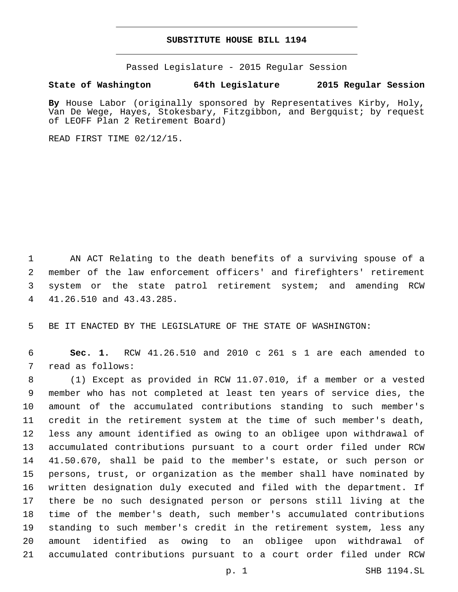# **SUBSTITUTE HOUSE BILL 1194**

Passed Legislature - 2015 Regular Session

# **State of Washington 64th Legislature 2015 Regular Session**

**By** House Labor (originally sponsored by Representatives Kirby, Holy, Van De Wege, Hayes, Stokesbary, Fitzgibbon, and Bergquist; by request of LEOFF Plan 2 Retirement Board)

READ FIRST TIME 02/12/15.

 AN ACT Relating to the death benefits of a surviving spouse of a member of the law enforcement officers' and firefighters' retirement system or the state patrol retirement system; and amending RCW 4 41.26.510 and 43.43.285.

BE IT ENACTED BY THE LEGISLATURE OF THE STATE OF WASHINGTON:

 **Sec. 1.** RCW 41.26.510 and 2010 c 261 s 1 are each amended to 7 read as follows:

 (1) Except as provided in RCW 11.07.010, if a member or a vested member who has not completed at least ten years of service dies, the amount of the accumulated contributions standing to such member's credit in the retirement system at the time of such member's death, less any amount identified as owing to an obligee upon withdrawal of accumulated contributions pursuant to a court order filed under RCW 41.50.670, shall be paid to the member's estate, or such person or persons, trust, or organization as the member shall have nominated by written designation duly executed and filed with the department. If there be no such designated person or persons still living at the time of the member's death, such member's accumulated contributions standing to such member's credit in the retirement system, less any amount identified as owing to an obligee upon withdrawal of accumulated contributions pursuant to a court order filed under RCW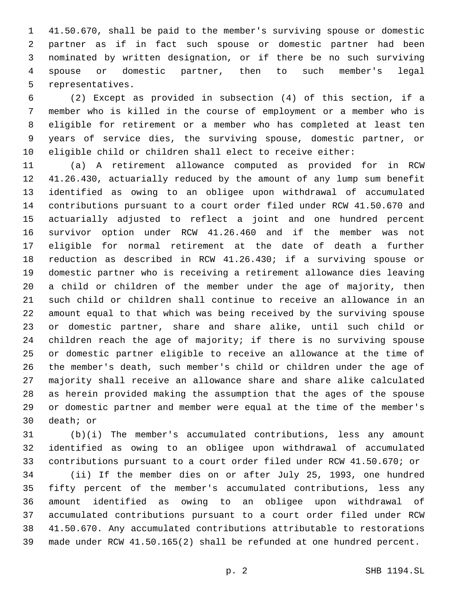41.50.670, shall be paid to the member's surviving spouse or domestic partner as if in fact such spouse or domestic partner had been nominated by written designation, or if there be no such surviving spouse or domestic partner, then to such member's legal 5 representatives.

 (2) Except as provided in subsection (4) of this section, if a member who is killed in the course of employment or a member who is eligible for retirement or a member who has completed at least ten years of service dies, the surviving spouse, domestic partner, or eligible child or children shall elect to receive either:

 (a) A retirement allowance computed as provided for in RCW 41.26.430, actuarially reduced by the amount of any lump sum benefit identified as owing to an obligee upon withdrawal of accumulated contributions pursuant to a court order filed under RCW 41.50.670 and actuarially adjusted to reflect a joint and one hundred percent survivor option under RCW 41.26.460 and if the member was not eligible for normal retirement at the date of death a further reduction as described in RCW 41.26.430; if a surviving spouse or domestic partner who is receiving a retirement allowance dies leaving a child or children of the member under the age of majority, then such child or children shall continue to receive an allowance in an amount equal to that which was being received by the surviving spouse or domestic partner, share and share alike, until such child or children reach the age of majority; if there is no surviving spouse or domestic partner eligible to receive an allowance at the time of the member's death, such member's child or children under the age of majority shall receive an allowance share and share alike calculated as herein provided making the assumption that the ages of the spouse or domestic partner and member were equal at the time of the member's 30 death; or

 (b)(i) The member's accumulated contributions, less any amount identified as owing to an obligee upon withdrawal of accumulated contributions pursuant to a court order filed under RCW 41.50.670; or

 (ii) If the member dies on or after July 25, 1993, one hundred fifty percent of the member's accumulated contributions, less any amount identified as owing to an obligee upon withdrawal of accumulated contributions pursuant to a court order filed under RCW 41.50.670. Any accumulated contributions attributable to restorations made under RCW 41.50.165(2) shall be refunded at one hundred percent.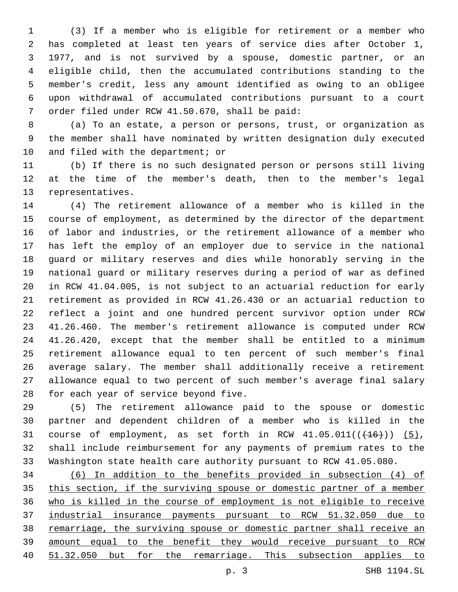(3) If a member who is eligible for retirement or a member who has completed at least ten years of service dies after October 1, 1977, and is not survived by a spouse, domestic partner, or an eligible child, then the accumulated contributions standing to the member's credit, less any amount identified as owing to an obligee upon withdrawal of accumulated contributions pursuant to a court 7 order filed under RCW 41.50.670, shall be paid:

 (a) To an estate, a person or persons, trust, or organization as the member shall have nominated by written designation duly executed 10 and filed with the department; or

 (b) If there is no such designated person or persons still living at the time of the member's death, then to the member's legal 13 representatives.

 (4) The retirement allowance of a member who is killed in the course of employment, as determined by the director of the department of labor and industries, or the retirement allowance of a member who has left the employ of an employer due to service in the national guard or military reserves and dies while honorably serving in the national guard or military reserves during a period of war as defined in RCW 41.04.005, is not subject to an actuarial reduction for early retirement as provided in RCW 41.26.430 or an actuarial reduction to reflect a joint and one hundred percent survivor option under RCW 41.26.460. The member's retirement allowance is computed under RCW 41.26.420, except that the member shall be entitled to a minimum retirement allowance equal to ten percent of such member's final average salary. The member shall additionally receive a retirement allowance equal to two percent of such member's average final salary 28 for each year of service beyond five.

 (5) The retirement allowance paid to the spouse or domestic partner and dependent children of a member who is killed in the 31 course of employment, as set forth in RCW  $41.05.011((\left\lbrace 46 \right\rbrace))$  (5), shall include reimbursement for any payments of premium rates to the Washington state health care authority pursuant to RCW 41.05.080.

 (6) In addition to the benefits provided in subsection (4) of this section, if the surviving spouse or domestic partner of a member who is killed in the course of employment is not eligible to receive industrial insurance payments pursuant to RCW 51.32.050 due to remarriage, the surviving spouse or domestic partner shall receive an amount equal to the benefit they would receive pursuant to RCW 51.32.050 but for the remarriage. This subsection applies to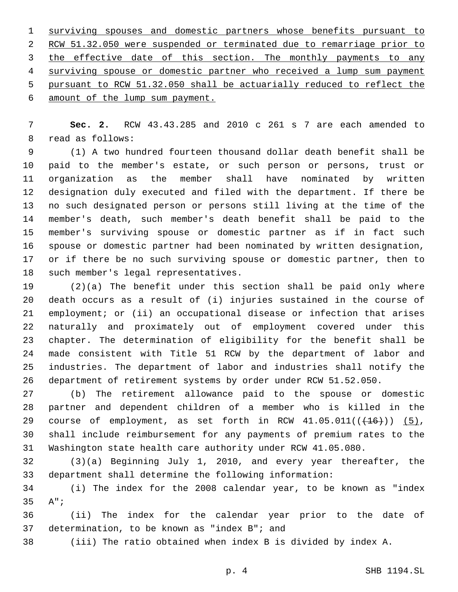surviving spouses and domestic partners whose benefits pursuant to RCW 51.32.050 were suspended or terminated due to remarriage prior to 3 the effective date of this section. The monthly payments to any surviving spouse or domestic partner who received a lump sum payment pursuant to RCW 51.32.050 shall be actuarially reduced to reflect the 6 amount of the lump sum payment.

 **Sec. 2.** RCW 43.43.285 and 2010 c 261 s 7 are each amended to 8 read as follows:

 (1) A two hundred fourteen thousand dollar death benefit shall be paid to the member's estate, or such person or persons, trust or organization as the member shall have nominated by written designation duly executed and filed with the department. If there be no such designated person or persons still living at the time of the member's death, such member's death benefit shall be paid to the member's surviving spouse or domestic partner as if in fact such spouse or domestic partner had been nominated by written designation, or if there be no such surviving spouse or domestic partner, then to 18 such member's legal representatives.

 (2)(a) The benefit under this section shall be paid only where death occurs as a result of (i) injuries sustained in the course of employment; or (ii) an occupational disease or infection that arises naturally and proximately out of employment covered under this chapter. The determination of eligibility for the benefit shall be made consistent with Title 51 RCW by the department of labor and industries. The department of labor and industries shall notify the department of retirement systems by order under RCW 51.52.050.

 (b) The retirement allowance paid to the spouse or domestic partner and dependent children of a member who is killed in the 29 course of employment, as set forth in RCW  $41.05.011((\left\lbrace 46 \right\rbrace))$  (5), shall include reimbursement for any payments of premium rates to the Washington state health care authority under RCW 41.05.080.

 (3)(a) Beginning July 1, 2010, and every year thereafter, the department shall determine the following information:

 (i) The index for the 2008 calendar year, to be known as "index 35 A";

 (ii) The index for the calendar year prior to the date of 37 determination, to be known as "index  $B''$ ; and

(iii) The ratio obtained when index B is divided by index A.